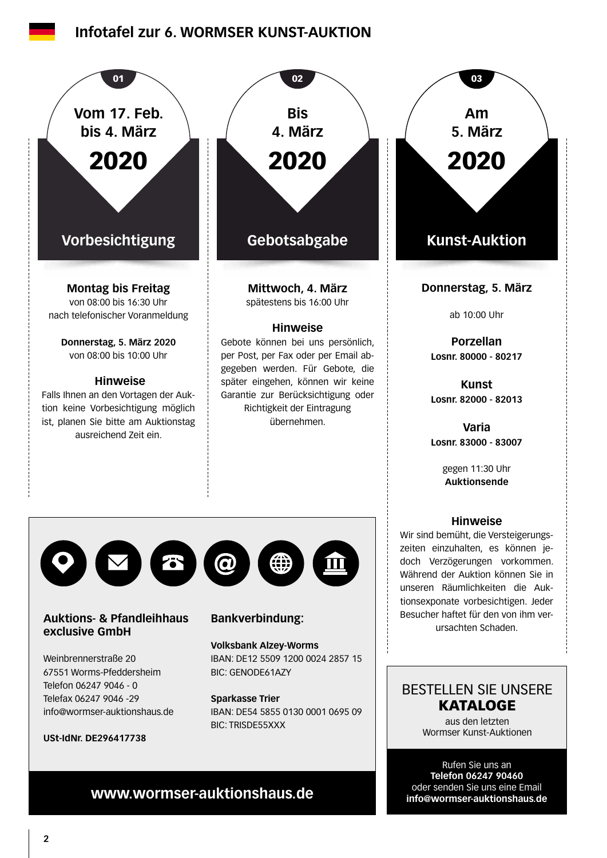## **[Infotafel zur 6. WORMSER KUNST-AUKTION](https://www.wormser-auktionshaus.de)**



**Sparkasse Trier** IBAN: DE54 5855 0130 0001 0695 09 BIC: TRISDE55XXX

## BESTELLEN SIE UNSERE **KATALOGE**

aus den letzten Wormser Kunst-Auktionen

Rufen Sie uns an **Telefon 06247 90460** oder senden Sie uns eine Email **info@wormser-auktionshaus.de**

# **www.wormser-auktionshaus.de**

Telefax 06247 9046 -29

**USt-IdNr. DE296417738**

info@wormser-auktionshaus.de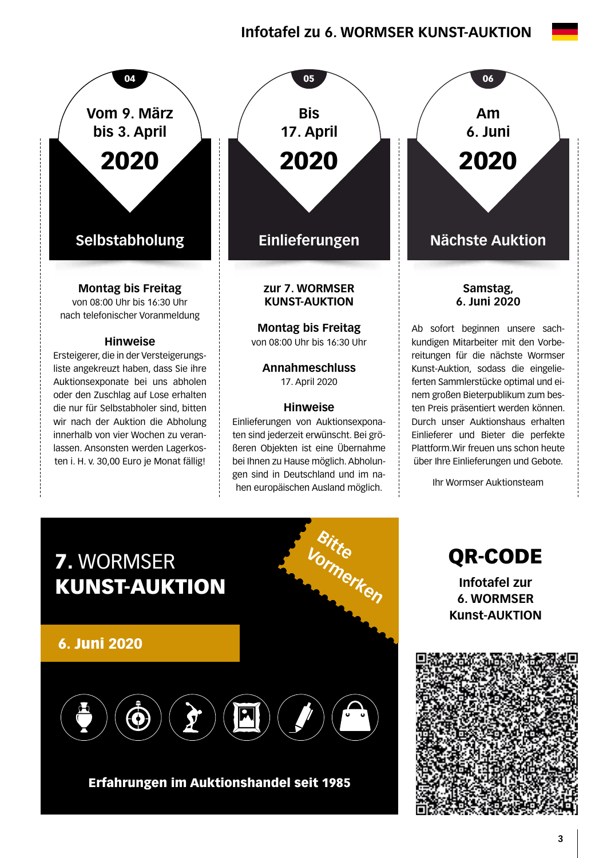## **Infotafel zu 6. WORMSER KUNST-AUKTION**



die nur für Selbstabholer sind, bitten wir nach der Auktion die Abholung innerhalb von vier Wochen zu veranlassen. Ansonsten werden Lagerkosten i. H. v. 30,00 Euro je Monat fällig!



**Annahmeschluss**  17. April 2020

#### **Hinweise**

Einlieferungen von Auktionsexponaten sind jederzeit erwünscht. Bei größeren Objekten ist eine Übernahme bei Ihnen zu Hause möglich. Abholungen sind in Deutschland und im nahen europäischen Ausland möglich.

**Samstag, 6. Juni 2020 Am 6. Juni** 2020

Ab sofort beginnen unsere sachkundigen Mitarbeiter mit den Vorbereitungen für die nächste Wormser Kunst-Auktion, sodass die eingelieferten Sammlerstücke optimal und einem großen Bieterpublikum zum besten Preis präsentiert werden können. Durch unser Auktionshaus erhalten Einlieferer und Bieter die perfekte Plattform.Wir freuen uns schon heute über Ihre Einlieferungen und Gebote.

Ihr Wormser Auktionsteam



Erfahrungen im Auktionshandel seit 1985

QR-CODE **Infotafel zur 6. WORMSER Kunst-AUKTION**

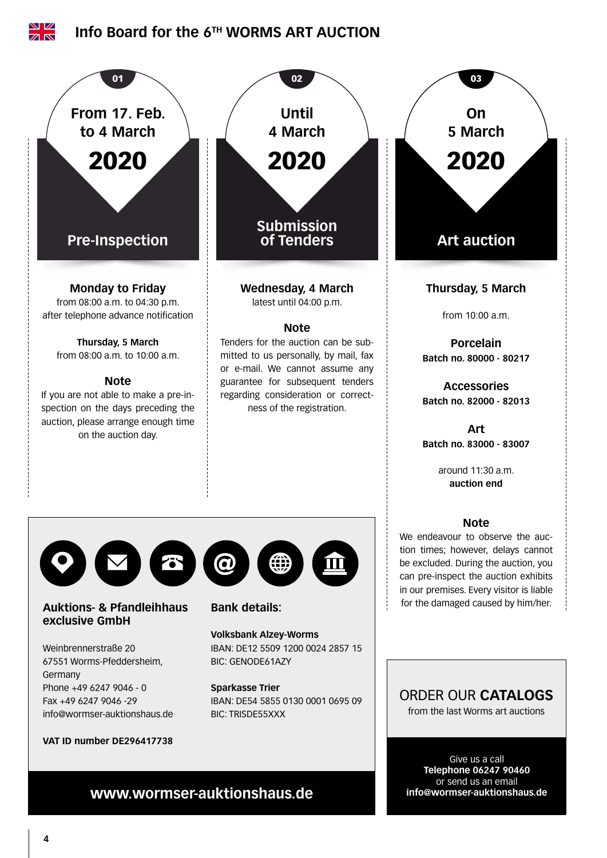

**info@wormser-auktionshaus.de**

**www.wormser-auktionshaus.de**